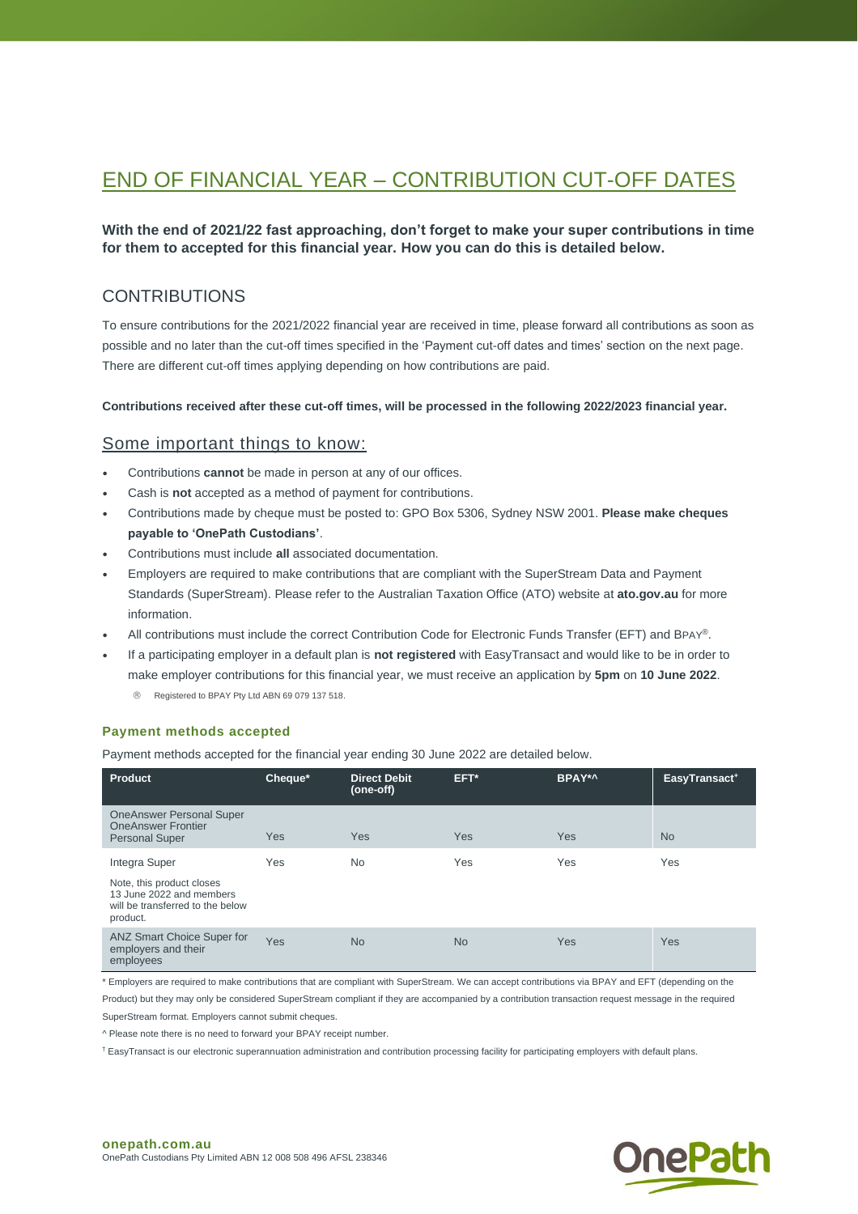# END OF FINANCIAL YEAR – CONTRIBUTION CUT-OFF DATES

## **With the end of 2021/22 fast approaching, don't forget to make your super contributions in time for them to accepted for this financial year. How you can do this is detailed below.**

# **CONTRIBUTIONS**

To ensure contributions for the 2021/2022 financial year are received in time, please forward all contributions as soon as possible and no later than the cut-off times specified in the 'Payment cut-off dates and times' section on the next page. There are different cut-off times applying depending on how contributions are paid.

#### **Contributions received after these cut-off times, will be processed in the following 2022/2023 financial year.**

## Some important things to know:

- Contributions **cannot** be made in person at any of our offices.
- Cash is **not** accepted as a method of payment for contributions.
- Contributions made by cheque must be posted to: GPO Box 5306, Sydney NSW 2001. **Please make cheques payable to 'OnePath Custodians'**.
- Contributions must include **all** associated documentation.
- Employers are required to make contributions that are compliant with the SuperStream Data and Payment Standards (SuperStream). Please refer to the [Australian Taxation Office \(ATO\) website](https://www.ato.gov.au/) at **[ato.gov.au](https://www.ato.gov.au/Super/SuperStream/In-detail/Contributions/Contribution-data-for-SuperStream/)** for more information.
- All contributions must include the correct Contribution Code for Electronic Funds Transfer (EFT) and BPAY®.
- If a participating employer in a default plan is **not registered** with EasyTransact and would like to be in order to make employer contributions for this financial year, we must receive an application by **5pm** on **10 June 2022**.
	- Registered to BPAY Pty Ltd ABN 69 079 137 518.

#### **Payment methods accepted**

Payment methods accepted for the financial year ending 30 June 2022 are detailed below.

| <b>Product</b>                                                                                                         | Cheque* | <b>Direct Debit</b><br>(one-off) | EFT*      | BPAY*^     | EasyTransact <sup>+</sup> |
|------------------------------------------------------------------------------------------------------------------------|---------|----------------------------------|-----------|------------|---------------------------|
| <b>OneAnswer Personal Super</b><br><b>OneAnswer Frontier</b><br><b>Personal Super</b>                                  | Yes     | Yes                              | Yes       | <b>Yes</b> | <b>No</b>                 |
| Integra Super<br>Note, this product closes<br>13 June 2022 and members<br>will be transferred to the below<br>product. | Yes     | <b>No</b>                        | Yes       | Yes        | Yes                       |
| <b>ANZ Smart Choice Super for</b><br>employers and their<br>employees                                                  | Yes     | <b>No</b>                        | <b>No</b> | Yes        | <b>Yes</b>                |

\* Employers are required to make contributions that are compliant with SuperStream. We can accept contributions via BPAY and EFT (depending on the Product) but they may only be considered SuperStream compliant if they are accompanied by a contribution transaction request message in the required

SuperStream format. Employers cannot submit cheques.

^ Please note there is no need to forward your BPAY receipt number.

† EasyTransact is our electronic superannuation administration and contribution processing facility for participating employers with default plans.

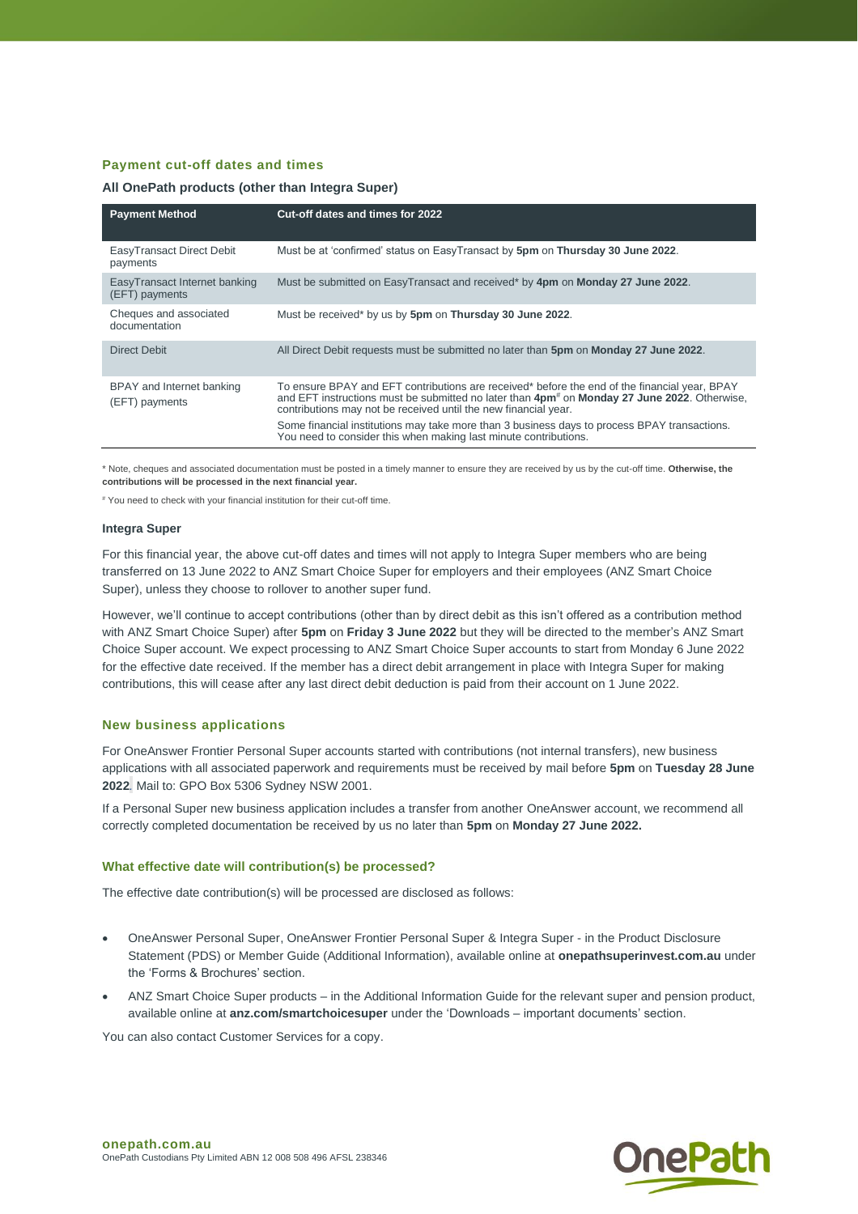## **Payment cut-off dates and times**

#### **All OnePath products (other than Integra Super)**

| <b>Payment Method</b>                           | Cut-off dates and times for 2022                                                                                                                                                                                                                                             |
|-------------------------------------------------|------------------------------------------------------------------------------------------------------------------------------------------------------------------------------------------------------------------------------------------------------------------------------|
| EasyTransact Direct Debit<br>payments           | Must be at 'confirmed' status on EasyTransact by 5pm on Thursday 30 June 2022.                                                                                                                                                                                               |
| EasyTransact Internet banking<br>(EFT) payments | Must be submitted on EasyTransact and received* by 4pm on Monday 27 June 2022.                                                                                                                                                                                               |
| Cheques and associated<br>documentation         | Must be received* by us by 5pm on Thursday 30 June 2022.                                                                                                                                                                                                                     |
| <b>Direct Debit</b>                             | All Direct Debit requests must be submitted no later than 5pm on Monday 27 June 2022.                                                                                                                                                                                        |
| BPAY and Internet banking<br>(EFT) payments     | To ensure BPAY and EFT contributions are received* before the end of the financial year, BPAY<br>and EFT instructions must be submitted no later than 4pm <sup>#</sup> on Monday 27 June 2022. Otherwise,<br>contributions may not be received until the new financial year. |
|                                                 | Some financial institutions may take more than 3 business days to process BPAY transactions.<br>You need to consider this when making last minute contributions.                                                                                                             |

\* Note, cheques and associated documentation must be posted in a timely manner to ensure they are received by us by the cut-off time. **Otherwise, the contributions will be processed in the next financial year.**

# You need to check with your financial institution for their cut-off time.

#### **Integra Super**

For this financial year, the above cut-off dates and times will not apply to Integra Super members who are being transferred on 13 June 2022 to ANZ Smart Choice Super for employers and their employees (ANZ Smart Choice Super), unless they choose to rollover to another super fund.

However, we'll continue to accept contributions (other than by direct debit as this isn't offered as a contribution method with ANZ Smart Choice Super) after **5pm** on **Friday 3 June 2022** but they will be directed to the member's ANZ Smart Choice Super account. We expect processing to ANZ Smart Choice Super accounts to start from Monday 6 June 2022 for the effective date received. If the member has a direct debit arrangement in place with Integra Super for making contributions, this will cease after any last direct debit deduction is paid from their account on 1 June 2022.

#### **New business applications**

For OneAnswer Frontier Personal Super accounts started with contributions (not internal transfers), new business applications with all associated paperwork and requirements must be received by mail before **5pm** on **Tuesday 28 June 2022***.* Mail to: GPO Box 5306 Sydney NSW 2001.

If a Personal Super new business application includes a transfer from another OneAnswer account, we recommend all correctly completed documentation be received by us no later than **5pm** on **Monday 27 June 2022.**

#### **What effective date will contribution(s) be processed?**

The effective date contribution(s) will be processed are disclosed as follows:

- OneAnswer Personal Super, OneAnswer Frontier Personal Super & Integra Super in the Product Disclosure Statement (PDS) or Member Guide (Additional Information), available online at **onepathsuperinvest.com.au** under the 'Forms & Brochures' section.
- ANZ Smart Choice Super products in the Additional Information Guide for the relevant super and pension product, available online at **anz.com/smartchoicesuper** under the 'Downloads – important documents' section.

You can also contact Customer Services for a copy.